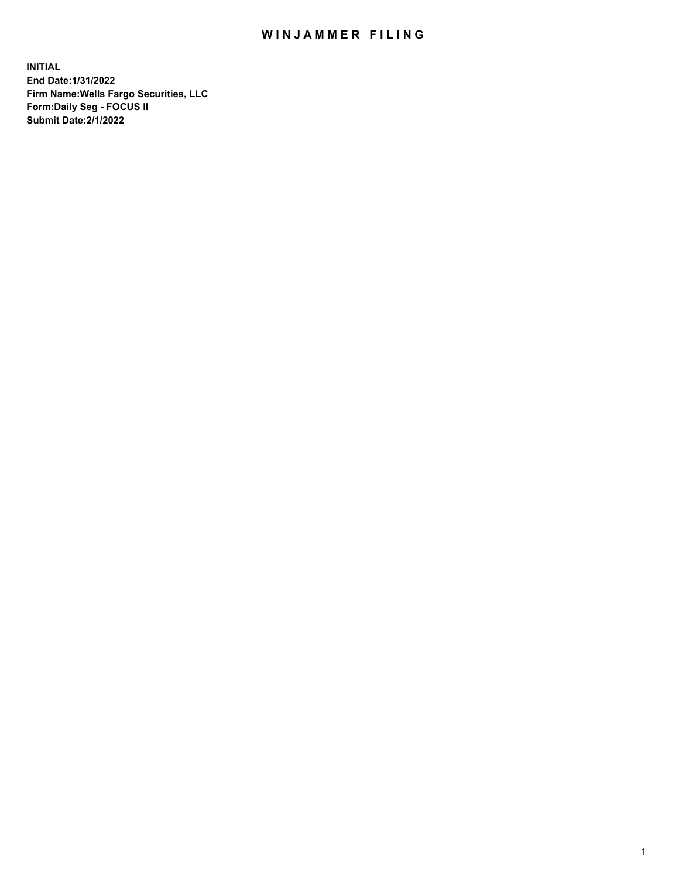## WIN JAMMER FILING

**INITIAL End Date:1/31/2022 Firm Name:Wells Fargo Securities, LLC Form:Daily Seg - FOCUS II Submit Date:2/1/2022**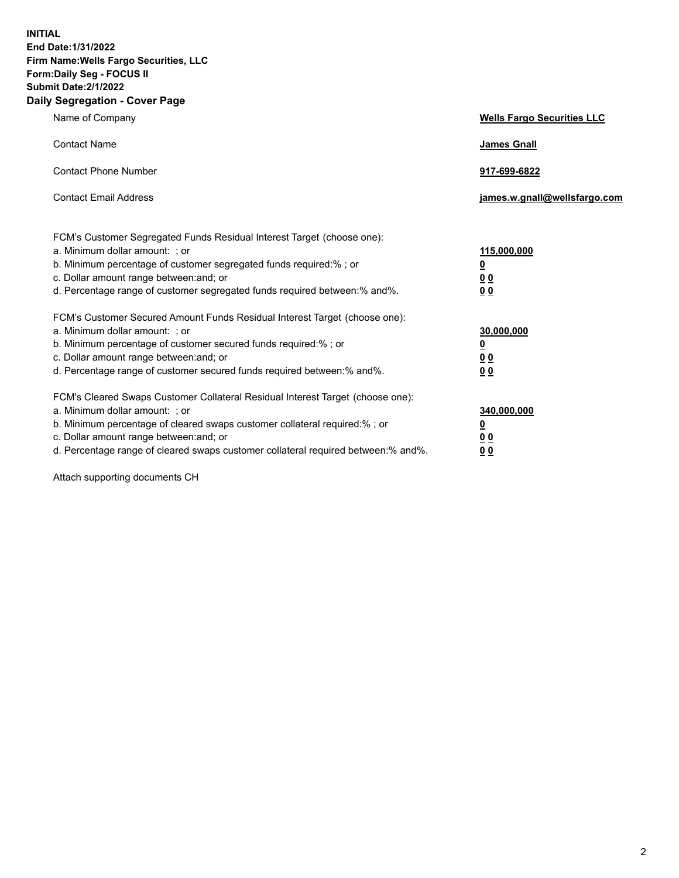**INITIAL End Date:1/31/2022 Firm Name:Wells Fargo Securities, LLC Form:Daily Seg - FOCUS II Submit Date:2/1/2022 Daily Segregation - Cover Page**

| Name of Company                                                                   | <b>Wells Fargo Securities LLC</b> |
|-----------------------------------------------------------------------------------|-----------------------------------|
| <b>Contact Name</b>                                                               | <b>James Gnall</b>                |
|                                                                                   |                                   |
| <b>Contact Phone Number</b>                                                       | 917-699-6822                      |
|                                                                                   |                                   |
| <b>Contact Email Address</b>                                                      | james.w.gnall@wellsfargo.com      |
|                                                                                   |                                   |
| FCM's Customer Segregated Funds Residual Interest Target (choose one):            |                                   |
| a. Minimum dollar amount: ; or                                                    | 115,000,000                       |
| b. Minimum percentage of customer segregated funds required:% ; or                | <u>0</u>                          |
| c. Dollar amount range between: and; or                                           | 00                                |
| d. Percentage range of customer segregated funds required between:% and%.         | 0 <sub>0</sub>                    |
| FCM's Customer Secured Amount Funds Residual Interest Target (choose one):        |                                   |
| a. Minimum dollar amount: ; or                                                    | 30,000,000                        |
| b. Minimum percentage of customer secured funds required:%; or                    | <u>0</u>                          |
| c. Dollar amount range between: and; or                                           | 00                                |
| d. Percentage range of customer secured funds required between: % and %.          | 00                                |
|                                                                                   |                                   |
| FCM's Cleared Swaps Customer Collateral Residual Interest Target (choose one):    |                                   |
| a. Minimum dollar amount: ; or                                                    | 340,000,000                       |
| b. Minimum percentage of cleared swaps customer collateral required:% ; or        | <u>0</u>                          |
| c. Dollar amount range between: and; or                                           | <u>00</u>                         |
| d. Percentage range of cleared swaps customer collateral required between:% and%. | 00                                |

Attach supporting documents CH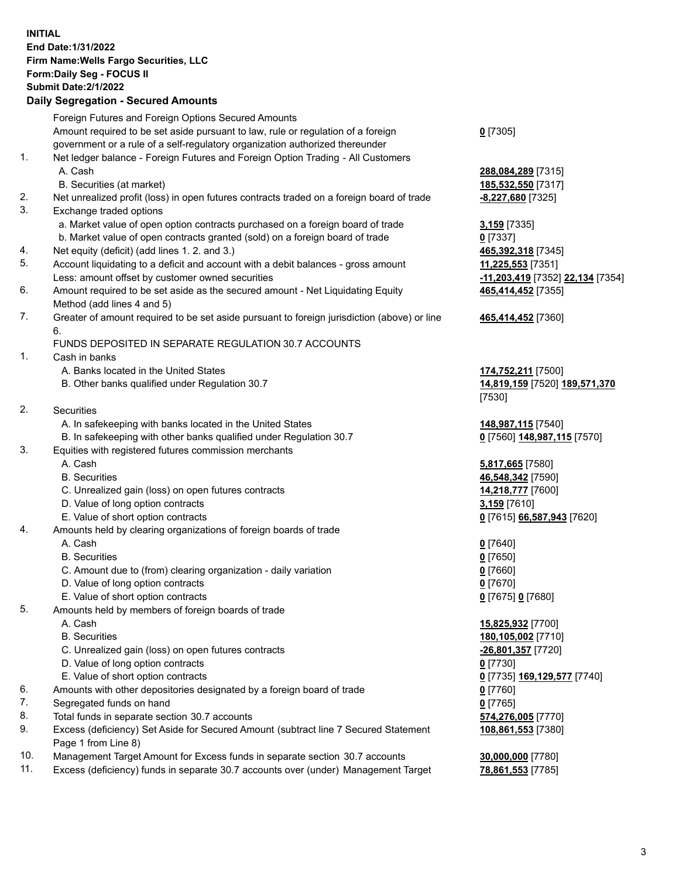**INITIAL End Date:1/31/2022 Firm Name:Wells Fargo Securities, LLC Form:Daily Seg - FOCUS II Submit Date:2/1/2022 Daily Segregation - Secured Amounts**

Foreign Futures and Foreign Options Secured Amounts Amount required to be set aside pursuant to law, rule or regulation of a foreign government or a rule of a self-regulatory organization authorized thereunder **0** [7305] 1. Net ledger balance - Foreign Futures and Foreign Option Trading - All Customers A. Cash **288,084,289** [7315] B. Securities (at market) **185,532,550** [7317] 2. Net unrealized profit (loss) in open futures contracts traded on a foreign board of trade **-8,227,680** [7325] 3. Exchange traded options a. Market value of open option contracts purchased on a foreign board of trade **3,159** [7335] b. Market value of open contracts granted (sold) on a foreign board of trade **0** [7337] 4. Net equity (deficit) (add lines 1. 2. and 3.) **465,392,318** [7345] 5. Account liquidating to a deficit and account with a debit balances - gross amount **11,225,553** [7351] Less: amount offset by customer owned securities **-11,203,419** [7352] **22,134** [7354] 6. Amount required to be set aside as the secured amount - Net Liquidating Equity Method (add lines 4 and 5) **465,414,452** [7355] 7. Greater of amount required to be set aside pursuant to foreign jurisdiction (above) or line 6. FUNDS DEPOSITED IN SEPARATE REGULATION 30.7 ACCOUNTS 1. Cash in banks A. Banks located in the United States **174,752,211** [7500] B. Other banks qualified under Regulation 30.7 **14,819,159** [7520] **189,571,370** [7530] 2. Securities A. In safekeeping with banks located in the United States **148,987,115** [7540] B. In safekeeping with other banks qualified under Regulation 30.7 **0** [7560] **148,987,115** [7570] 3. Equities with registered futures commission merchants A. Cash **5,817,665** [7580] B. Securities **46,548,342** [7590] C. Unrealized gain (loss) on open futures contracts **14,218,777** [7600] D. Value of long option contracts **3,159** [7610] E. Value of short option contracts **0** [7615] **66,587,943** [7620] 4. Amounts held by clearing organizations of foreign boards of trade A. Cash **0** [7640] B. Securities **0** [7650] C. Amount due to (from) clearing organization - daily variation **0** [7660] D. Value of long option contracts **0** [7670] E. Value of short option contracts **0** [7675] **0** [7680] 5. Amounts held by members of foreign boards of trade A. Cash **15,825,932** [7700] B. Securities **180,105,002** [7710] C. Unrealized gain (loss) on open futures contracts **-26,801,357** [7720] D. Value of long option contracts **0** [7730] E. Value of short option contracts **0** [7735] **169,129,577** [7740] 6. Amounts with other depositories designated by a foreign board of trade **0** [7760] 7. Segregated funds on hand **0** [7765] 8. Total funds in separate section 30.7 accounts **574,276,005** [7770] 9. Excess (deficiency) Set Aside for Secured Amount (subtract line 7 Secured Statement Page 1 from Line 8)

- 10. Management Target Amount for Excess funds in separate section 30.7 accounts **30,000,000** [7780]
- 11. Excess (deficiency) funds in separate 30.7 accounts over (under) Management Target **78,861,553** [7785]

## **465,414,452** [7360]

**108,861,553** [7380]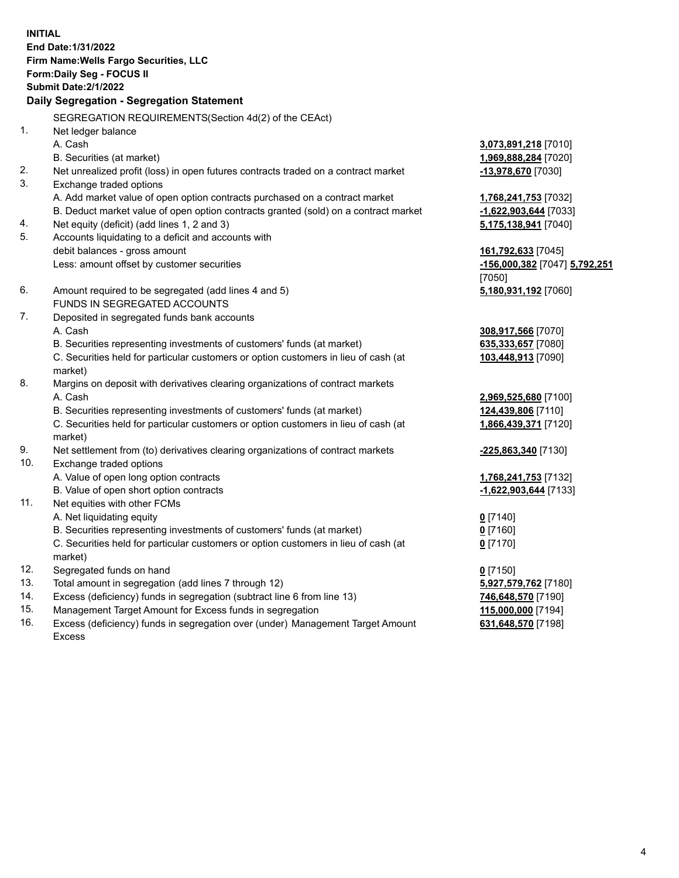**INITIAL End Date:1/31/2022 Firm Name:Wells Fargo Securities, LLC Form:Daily Seg - FOCUS II Submit Date:2/1/2022 Daily Segregation - Segregation Statement** SEGREGATION REQUIREMENTS(Section 4d(2) of the CEAct) 1. Net ledger balance A. Cash **3,073,891,218** [7010] B. Securities (at market) **1,969,888,284** [7020] 2. Net unrealized profit (loss) in open futures contracts traded on a contract market **-13,978,670** [7030] 3. Exchange traded options A. Add market value of open option contracts purchased on a contract market **1,768,241,753** [7032] B. Deduct market value of open option contracts granted (sold) on a contract market **-1,622,903,644** [7033] 4. Net equity (deficit) (add lines 1, 2 and 3) **5,175,138,941** [7040] 5. Accounts liquidating to a deficit and accounts with debit balances - gross amount **161,792,633** [7045] Less: amount offset by customer securities **-156,000,382** [7047] **5,792,251** [7050] 6. Amount required to be segregated (add lines 4 and 5) **5,180,931,192** [7060] FUNDS IN SEGREGATED ACCOUNTS 7. Deposited in segregated funds bank accounts A. Cash **308,917,566** [7070] B. Securities representing investments of customers' funds (at market) **635,333,657** [7080] C. Securities held for particular customers or option customers in lieu of cash (at market) **103,448,913** [7090] 8. Margins on deposit with derivatives clearing organizations of contract markets A. Cash **2,969,525,680** [7100] B. Securities representing investments of customers' funds (at market) **124,439,806** [7110] C. Securities held for particular customers or option customers in lieu of cash (at market) **1,866,439,371** [7120] 9. Net settlement from (to) derivatives clearing organizations of contract markets **-225,863,340** [7130] 10. Exchange traded options A. Value of open long option contracts **1,768,241,753** [7132] B. Value of open short option contracts **-1,622,903,644** [7133] 11. Net equities with other FCMs A. Net liquidating equity **0** [7140] B. Securities representing investments of customers' funds (at market) **0** [7160] C. Securities held for particular customers or option customers in lieu of cash (at market) **0** [7170] 12. Segregated funds on hand **0** [7150] 13. Total amount in segregation (add lines 7 through 12) **5,927,579,762** [7180] 14. Excess (deficiency) funds in segregation (subtract line 6 from line 13) **746,648,570** [7190] 15. Management Target Amount for Excess funds in segregation **115,000,000** [7194] **631,648,570** [7198]

16. Excess (deficiency) funds in segregation over (under) Management Target Amount Excess